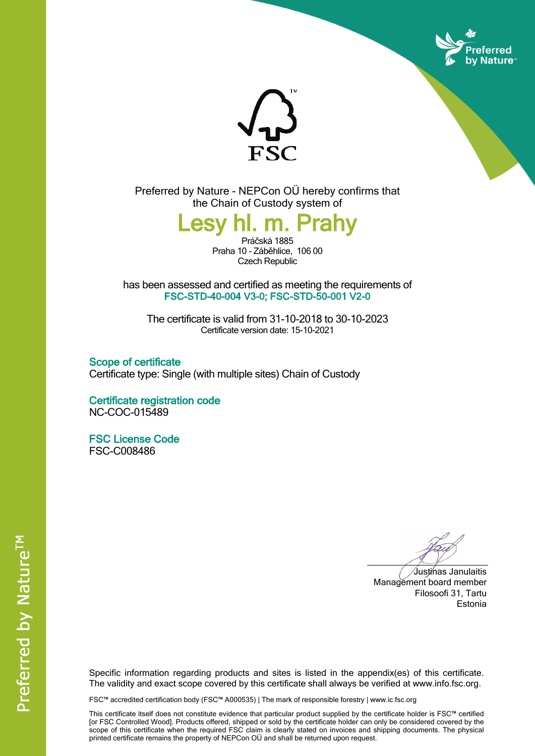



Preferred by Nature - NEPCon OÜ hereby confirms that the Chain of Custody system of

**Lesy hl. m. Prahy**

Práčská 1885 Praha 10 - Záběhlice, 106 00 Czech Republic

has been assessed and certified as meeting the requirements of **FSC-STD-40-004 V3-0; FSC-STD-50-001 V2-0**

The certificate is valid from 31-10-2018 to 30-10-2023 Certificate version date: 15-10-2021

**Scope of certificate** Certificate type: Single (with multiple sites) Chain of Custody

**Certificate registration code** NC-COC-015489

**FSC License Code** FSC-C008486

Justinas Janulaitis Management board member Filosoofi 31, Tartu Estonia

Specific information regarding products and sites is listed in the appendix(es) of this certificate. The validity and exact scope covered by this certificate shall always be verified at www.info.fsc.org.

FSC™ accredited certification body (FSC™ A000535) | The mark of responsible forestry | www.ic.fsc.org

This certificate itself does not constitute evidence that particular product supplied by the certificate holder is FSC™ certified [or FSC Controlled Wood]. Products offered, shipped or sold by the certificate holder can only be considered covered by the scope of this certificate when the required FSC claim is clearly stated on invoices and shipping documents. The physical printed certificate remains the property of NEPCon OÜ and shall be returned upon request.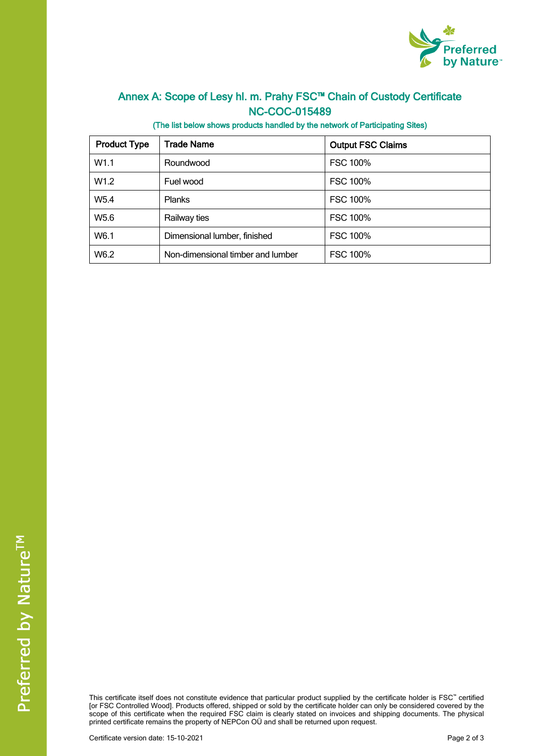

## **Annex A: Scope of Lesy hl. m. Prahy FSC™ Chain of Custody Certificate NC-COC-015489**

**(The list below shows products handled by the network of Participating Sites)**

| <b>Product Type</b> | Trade Name                        | <b>Output FSC Claims</b> |
|---------------------|-----------------------------------|--------------------------|
| W1.1                | Roundwood                         | <b>FSC 100%</b>          |
| W <sub>1.2</sub>    | Fuel wood                         | <b>FSC 100%</b>          |
| W <sub>5.4</sub>    | <b>Planks</b>                     | <b>FSC 100%</b>          |
| W <sub>5.6</sub>    | Railway ties                      | <b>FSC 100%</b>          |
| W6.1                | Dimensional lumber, finished      | <b>FSC 100%</b>          |
| W6.2                | Non-dimensional timber and lumber | <b>FSC 100%</b>          |

This certificate itself does not constitute evidence that particular product supplied by the certificate holder is FSC™ certified [or FSC Controlled Wood]. Products offered, shipped or sold by the certificate holder can only be considered covered by the scope of this certificate when the required FSC claim is clearly stated on invoices and shipping documents. The physical printed certificate remains the property of NEPCon OÜ and shall be returned upon request.